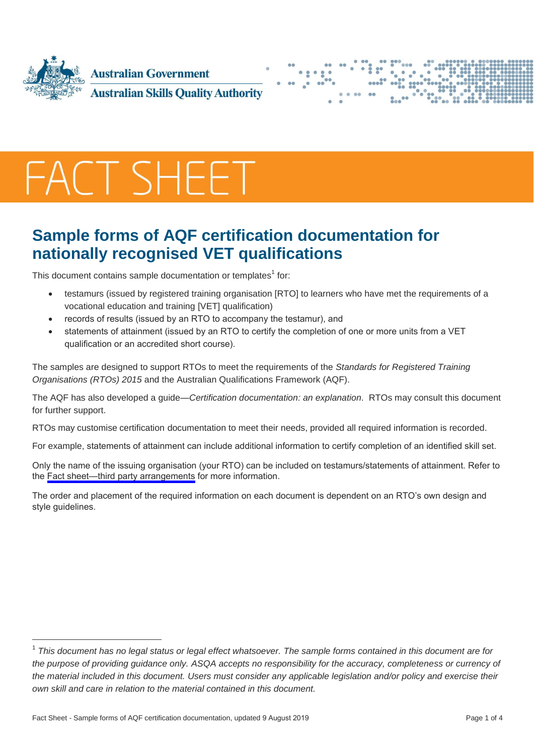





## **Sample forms of AQF certification documentation for nationally recognised VET qualifications**

This document contains sample documentation or templates<sup>1</sup> for:

- testamurs (issued by registered training organisation [RTO] to learners who have met the requirements of a vocational education and training [VET] qualification)
- records of results (issued by an RTO to accompany the testamur), and
- statements of attainment (issued by an RTO to certify the completion of one or more units from a VET qualification or an accredited short course).

The samples are designed to support RTOs to meet the requirements of the *Standards for Registered Training Organisations (RTOs) 2015* and the Australian Qualifications Framework (AQF).

The AQF has also developed a guide—*Certification documentation: an explanation*. RTOs may consult this document for further support.

RTOs may customise certification documentation to meet their needs, provided all required information is recorded.

For example, statements of attainment can include additional information to certify completion of an identified skill set.

Only the name of the issuing organisation (your RTO) can be included on testamurs/statements of attainment. Refer to the [Fact sheet—third party arrangements](https://asqa.gov.au/resources/fact-sheets/third-party-arrangements-0) for more information.

The order and placement of the required information on each document is dependent on an RTO's own design and style quidelines.

<sup>&</sup>lt;sup>1</sup> This document has no legal status or legal effect whatsoever. The sample forms contained in this document are for *the purpose of providing guidance only. ASQA accepts no responsibility for the accuracy, completeness or currency of the material included in this document. Users must consider any applicable legislation and/or policy and exercise their own skill and care in relation to the material contained in this document.*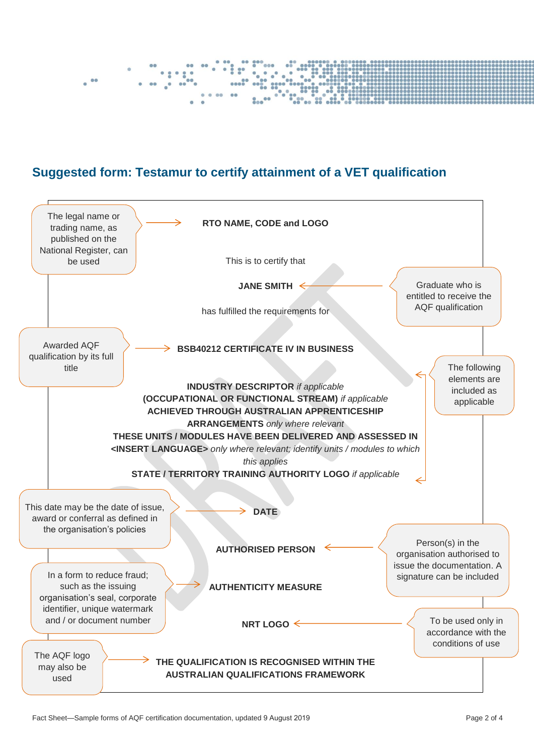

## **Suggested form: Testamur to certify attainment of a VET qualification**

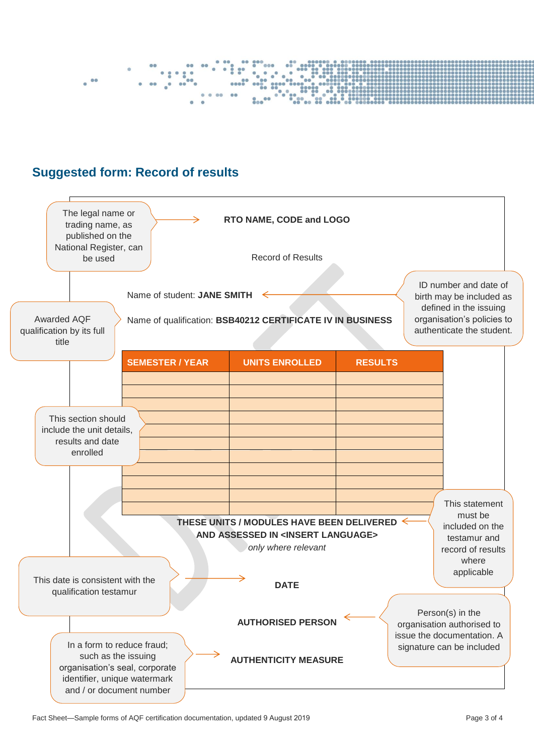

## **Suggested form: Record of results**